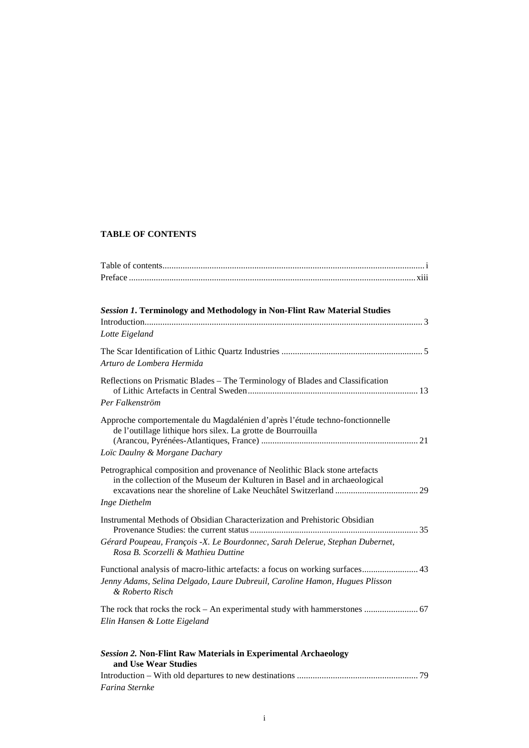# **TABLE OF CONTENTS**

| <b>Session 1. Terminology and Methodology in Non-Flint Raw Material Studies</b>                                                                                               |
|-------------------------------------------------------------------------------------------------------------------------------------------------------------------------------|
|                                                                                                                                                                               |
| Lotte Eigeland                                                                                                                                                                |
| Arturo de Lombera Hermida                                                                                                                                                     |
| Reflections on Prismatic Blades - The Terminology of Blades and Classification<br>Per Falkenström                                                                             |
| Approche comportementale du Magdalénien d'après l'étude techno-fonctionnelle<br>de l'outillage lithique hors silex. La grotte de Bourrouilla<br>Loïc Daulny & Morgane Dachary |
|                                                                                                                                                                               |
| Petrographical composition and provenance of Neolithic Black stone artefacts<br>in the collection of the Museum der Kulturen in Basel and in archaeological                   |
| Inge Diethelm                                                                                                                                                                 |
| Instrumental Methods of Obsidian Characterization and Prehistoric Obsidian                                                                                                    |
| Gérard Poupeau, François -X. Le Bourdonnec, Sarah Delerue, Stephan Dubernet,<br>Rosa B. Scorzelli & Mathieu Duttine                                                           |
| Functional analysis of macro-lithic artefacts: a focus on working surfaces 43                                                                                                 |
| Jenny Adams, Selina Delgado, Laure Dubreuil, Caroline Hamon, Hugues Plisson<br>& Roberto Risch                                                                                |
| Elin Hansen & Lotte Eigeland                                                                                                                                                  |
| <b>Session 2. Non-Flint Raw Materials in Experimental Archaeology</b><br>and Use Wear Studies                                                                                 |
|                                                                                                                                                                               |
| Farina Sternke                                                                                                                                                                |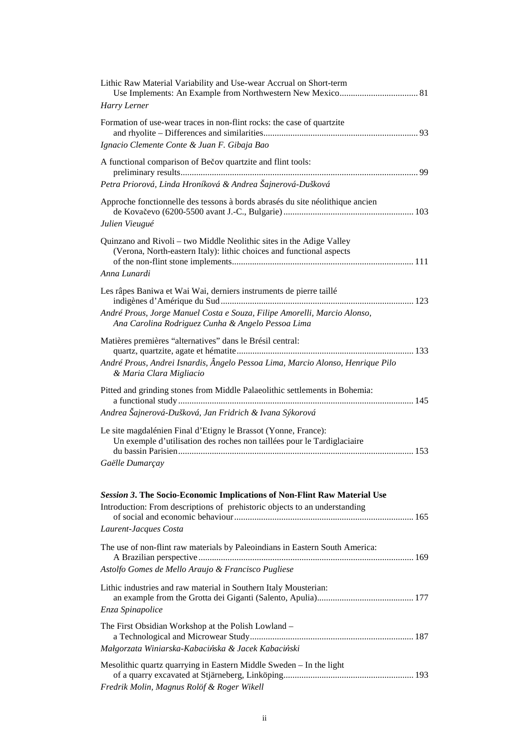| Lithic Raw Material Variability and Use-wear Accrual on Short-term<br>Harry Lerner                                                                                                                  |
|-----------------------------------------------------------------------------------------------------------------------------------------------------------------------------------------------------|
| Formation of use-wear traces in non-flint rocks: the case of quartzite<br>Ignacio Clemente Conte & Juan F. Gibaja Bao                                                                               |
| A functional comparison of Bečov quartzite and flint tools:<br>Petra Priorová, Linda Hroníková & Andrea Šajnerová-Dušková                                                                           |
| Approche fonctionnelle des tessons à bords abrasés du site néolithique ancien<br>Julien Vieugué                                                                                                     |
| Quinzano and Rivoli – two Middle Neolithic sites in the Adige Valley<br>(Verona, North-eastern Italy): lithic choices and functional aspects<br>Anna Lunardi                                        |
| Les râpes Baniwa et Wai Wai, derniers instruments de pierre taillé<br>André Prous, Jorge Manuel Costa e Souza, Filipe Amorelli, Marcio Alonso,<br>Ana Carolina Rodriguez Cunha & Angelo Pessoa Lima |
| Matières premières "alternatives" dans le Brésil central:<br>André Prous, Andrei Isnardis, Ângelo Pessoa Lima, Marcio Alonso, Henrique Pilo<br>& Maria Clara Migliacio                              |
| Pitted and grinding stones from Middle Palaeolithic settlements in Bohemia:<br>Andrea Šajnerová-Dušková, Jan Fridrich & Ivana Sýkorová                                                              |
| Le site magdalénien Final d'Etigny le Brassot (Yonne, France):<br>Un exemple d'utilisation des roches non taillées pour le Tardiglaciaire<br>Gaëlle Dumarçay                                        |
| Session 3. The Socio-Economic Implications of Non-Flint Raw Material Use<br>Introduction: From descriptions of prehistoric objects to an understanding<br>Laurent-Jacques Costa                     |
| The use of non-flint raw materials by Paleoindians in Eastern South America:<br>Astolfo Gomes de Mello Araujo & Francisco Pugliese                                                                  |
| Lithic industries and raw material in Southern Italy Mousterian:<br>Enza Spinapolice                                                                                                                |
| The First Obsidian Workshop at the Polish Lowland -<br>Małgorzata Winiarska-Kabacińska & Jacek Kabaciński                                                                                           |
| Mesolithic quartz quarrying in Eastern Middle Sweden - In the light<br>Fredrik Molin, Magnus Rolöf & Roger Wikell                                                                                   |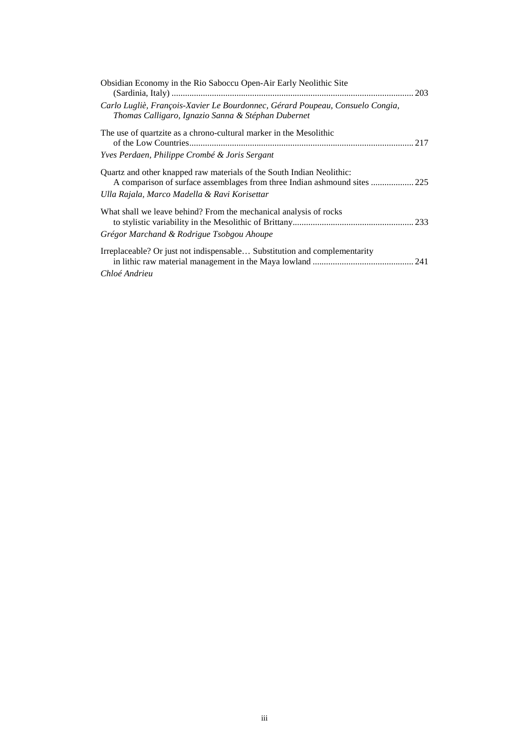| Obsidian Economy in the Rio Saboccu Open-Air Early Neolithic Site                                                                                                                                  |
|----------------------------------------------------------------------------------------------------------------------------------------------------------------------------------------------------|
| Carlo Lugliè, François-Xavier Le Bourdonnec, Gérard Poupeau, Consuelo Congia,<br>Thomas Calligaro, Ignazio Sanna & Stéphan Dubernet                                                                |
| The use of quartzite as a chrono-cultural marker in the Mesolithic                                                                                                                                 |
| <i>Yves Perdaen, Philippe Crombé &amp; Joris Sergant</i>                                                                                                                                           |
| Quartz and other knapped raw materials of the South Indian Neolithic:<br>A comparison of surface assemblages from three Indian ashmound sites  225<br>Ulla Rajala, Marco Madella & Ravi Korisettar |
| What shall we leave behind? From the mechanical analysis of rocks                                                                                                                                  |
| Grégor Marchand & Rodrigue Tsobgou Ahoupe                                                                                                                                                          |
| Irreplaceable? Or just not indispensable Substitution and complementarity                                                                                                                          |
| Chloé Andrieu                                                                                                                                                                                      |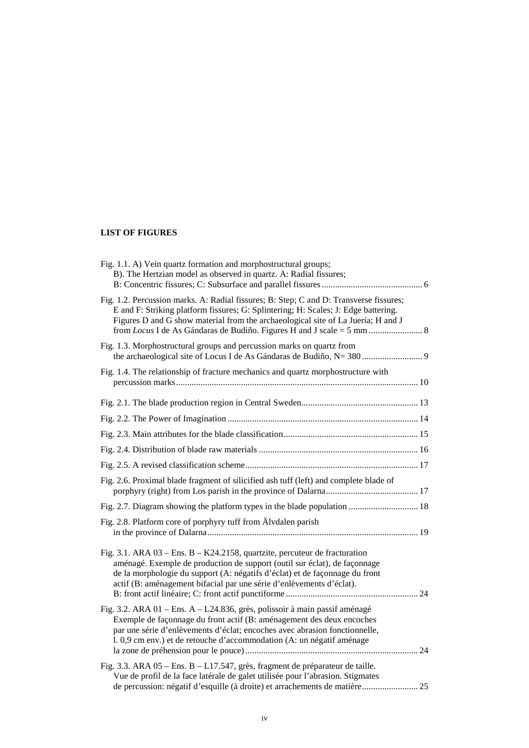## **LIST OF FIGURES**

| Fig. 1.1. A) Vein quartz formation and morphostructural groups;<br>B). The Hertzian model as observed in quartz. A: Radial fissures;                                                                                                                                                                           |
|----------------------------------------------------------------------------------------------------------------------------------------------------------------------------------------------------------------------------------------------------------------------------------------------------------------|
| Fig. 1.2. Percussion marks. A: Radial fissures; B: Step; C and D: Transverse fissures;<br>E and F: Striking platform fissures; G: Splintering; H: Scales; J: Edge battering.<br>Figures D and G show material from the archaeological site of La Juería; H and J                                               |
| Fig. 1.3. Morphostructural groups and percussion marks on quartz from                                                                                                                                                                                                                                          |
| Fig. 1.4. The relationship of fracture mechanics and quartz morphostructure with                                                                                                                                                                                                                               |
|                                                                                                                                                                                                                                                                                                                |
|                                                                                                                                                                                                                                                                                                                |
|                                                                                                                                                                                                                                                                                                                |
|                                                                                                                                                                                                                                                                                                                |
|                                                                                                                                                                                                                                                                                                                |
| Fig. 2.6. Proximal blade fragment of silicified ash tuff (left) and complete blade of                                                                                                                                                                                                                          |
|                                                                                                                                                                                                                                                                                                                |
| Fig. 2.8. Platform core of porphyry tuff from Älvdalen parish                                                                                                                                                                                                                                                  |
| Fig. 3.1. ARA 03 – Ens. B – K24.2158, quartzite, percuteur de fracturation<br>aménagé. Exemple de production de support (outil sur éclat), de façonnage<br>de la morphologie du support (A: négatifs d'éclat) et de façonnage du front<br>actif (B: aménagement bifacial par une série d'enlèvements d'éclat). |
| Fig. 3.2. ARA 01 – Ens. A – L24.836, grès, polissoir à main passif aménagé<br>Exemple de façonnage du front actif (B: aménagement des deux encoches<br>par une série d'enlèvements d'éclat; encoches avec abrasion fonctionnelle,<br>1. 0,9 cm env.) et de retouche d'accommodation (A: un négatif aménage     |
| Fig. 3.3. ARA 05 – Ens. B – L17.547, grès, fragment de préparateur de taille.<br>Vue de profil de la face latérale de galet utilisée pour l'abrasion. Stigmates<br>de percussion: négatif d'esquille (à droite) et arrachements de matière 25                                                                  |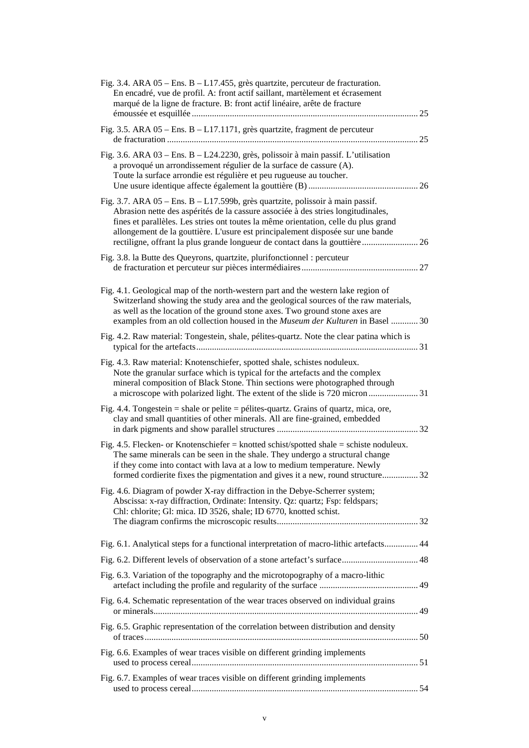| Fig. 3.4. ARA $05$ – Ens. B – L17.455, grès quartzite, percuteur de fracturation.<br>En encadré, vue de profil. A: front actif saillant, martèlement et écrasement<br>marqué de la ligne de fracture. B: front actif linéaire, arête de fracture                                                                                                                                                                              |    |
|-------------------------------------------------------------------------------------------------------------------------------------------------------------------------------------------------------------------------------------------------------------------------------------------------------------------------------------------------------------------------------------------------------------------------------|----|
| Fig. 3.5. ARA 05 - Ens. B - L17.1171, grès quartzite, fragment de percuteur                                                                                                                                                                                                                                                                                                                                                   | 25 |
| Fig. 3.6. ARA 03 - Ens. B - L24.2230, grès, polissoir à main passif. L'utilisation<br>a provoqué un arrondissement régulier de la surface de cassure (A).<br>Toute la surface arrondie est régulière et peu rugueuse au toucher.                                                                                                                                                                                              |    |
| Fig. 3.7. ARA $05$ – Ens. B – L17.599b, grès quartzite, polissoir à main passif.<br>Abrasion nette des aspérités de la cassure associée à des stries longitudinales,<br>fines et parallèles. Les stries ont toutes la même orientation, celle du plus grand<br>allongement de la gouttière. L'usure est principalement disposée sur une bande<br>rectiligne, offrant la plus grande longueur de contact dans la gouttière  26 |    |
| Fig. 3.8. la Butte des Queyrons, quartzite, plurifonctionnel : percuteur                                                                                                                                                                                                                                                                                                                                                      |    |
| Fig. 4.1. Geological map of the north-western part and the western lake region of<br>Switzerland showing the study area and the geological sources of the raw materials,<br>as well as the location of the ground stone axes. Two ground stone axes are<br>examples from an old collection housed in the <i>Museum der Kulturen</i> in Basel  30                                                                              |    |
| Fig. 4.2. Raw material: Tongestein, shale, pélites-quartz. Note the clear patina which is                                                                                                                                                                                                                                                                                                                                     |    |
| Fig. 4.3. Raw material: Knotenschiefer, spotted shale, schistes noduleux.<br>Note the granular surface which is typical for the artefacts and the complex<br>mineral composition of Black Stone. Thin sections were photographed through<br>a microscope with polarized light. The extent of the slide is 720 micron 31                                                                                                       |    |
| Fig. 4.4. Tongestein = shale or pelite = pélites-quartz. Grains of quartz, mica, ore,<br>clay and small quantities of other minerals. All are fine-grained, embedded                                                                                                                                                                                                                                                          |    |
| Fig. 4.5. Flecken- or Knotenschiefer = knotted schist/spotted shale = schiste noduleux.<br>The same minerals can be seen in the shale. They undergo a structural change<br>if they come into contact with lava at a low to medium temperature. Newly<br>formed cordierite fixes the pigmentation and gives it a new, round structure 32                                                                                       |    |
| Fig. 4.6. Diagram of powder X-ray diffraction in the Debye-Scherrer system;<br>Abscissa: x-ray diffraction, Ordinate: Intensity. Qz: quartz; Fsp: feldspars;<br>Chl: chlorite; Gl: mica. ID 3526, shale; ID 6770, knotted schist.                                                                                                                                                                                             |    |
| Fig. 6.1. Analytical steps for a functional interpretation of macro-lithic artefacts 44                                                                                                                                                                                                                                                                                                                                       |    |
|                                                                                                                                                                                                                                                                                                                                                                                                                               |    |
| Fig. 6.3. Variation of the topography and the microtopography of a macro-lithic                                                                                                                                                                                                                                                                                                                                               |    |
| Fig. 6.4. Schematic representation of the wear traces observed on individual grains                                                                                                                                                                                                                                                                                                                                           |    |
| Fig. 6.5. Graphic representation of the correlation between distribution and density                                                                                                                                                                                                                                                                                                                                          |    |
| Fig. 6.6. Examples of wear traces visible on different grinding implements                                                                                                                                                                                                                                                                                                                                                    |    |
| Fig. 6.7. Examples of wear traces visible on different grinding implements                                                                                                                                                                                                                                                                                                                                                    |    |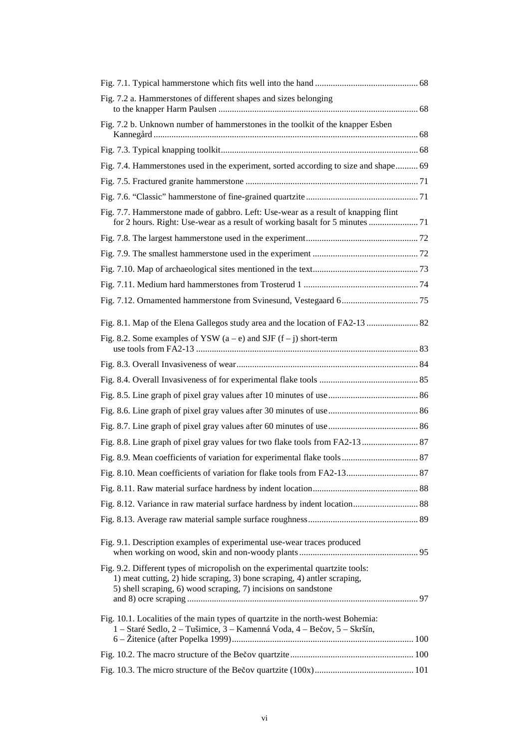| Fig. 7.2 a. Hammerstones of different shapes and sizes belonging                                                                                                                                                            |  |
|-----------------------------------------------------------------------------------------------------------------------------------------------------------------------------------------------------------------------------|--|
| Fig. 7.2 b. Unknown number of hammerstones in the toolkit of the knapper Esben                                                                                                                                              |  |
|                                                                                                                                                                                                                             |  |
| Fig. 7.4. Hammerstones used in the experiment, sorted according to size and shape 69                                                                                                                                        |  |
|                                                                                                                                                                                                                             |  |
|                                                                                                                                                                                                                             |  |
| Fig. 7.7. Hammerstone made of gabbro. Left: Use-wear as a result of knapping flint<br>for 2 hours. Right: Use-wear as a result of working basalt for 5 minutes  71                                                          |  |
|                                                                                                                                                                                                                             |  |
|                                                                                                                                                                                                                             |  |
|                                                                                                                                                                                                                             |  |
|                                                                                                                                                                                                                             |  |
|                                                                                                                                                                                                                             |  |
| Fig. 8.1. Map of the Elena Gallegos study area and the location of FA2-13  82                                                                                                                                               |  |
| Fig. 8.2. Some examples of YSW $(a - e)$ and SJF $(f - j)$ short-term                                                                                                                                                       |  |
|                                                                                                                                                                                                                             |  |
|                                                                                                                                                                                                                             |  |
|                                                                                                                                                                                                                             |  |
|                                                                                                                                                                                                                             |  |
|                                                                                                                                                                                                                             |  |
|                                                                                                                                                                                                                             |  |
|                                                                                                                                                                                                                             |  |
|                                                                                                                                                                                                                             |  |
|                                                                                                                                                                                                                             |  |
|                                                                                                                                                                                                                             |  |
|                                                                                                                                                                                                                             |  |
| Fig. 9.1. Description examples of experimental use-wear traces produced                                                                                                                                                     |  |
| Fig. 9.2. Different types of micropolish on the experimental quartzite tools:<br>1) meat cutting, 2) hide scraping, 3) bone scraping, 4) antler scraping,<br>5) shell scraping, 6) wood scraping, 7) incisions on sandstone |  |
| Fig. 10.1. Localities of the main types of quartzite in the north-west Bohemia:                                                                                                                                             |  |
| 1 - Staré Sedlo, 2 - Tušimice, 3 - Kamenná Voda, 4 - Bečov, 5 - Skršín,                                                                                                                                                     |  |
|                                                                                                                                                                                                                             |  |
|                                                                                                                                                                                                                             |  |
|                                                                                                                                                                                                                             |  |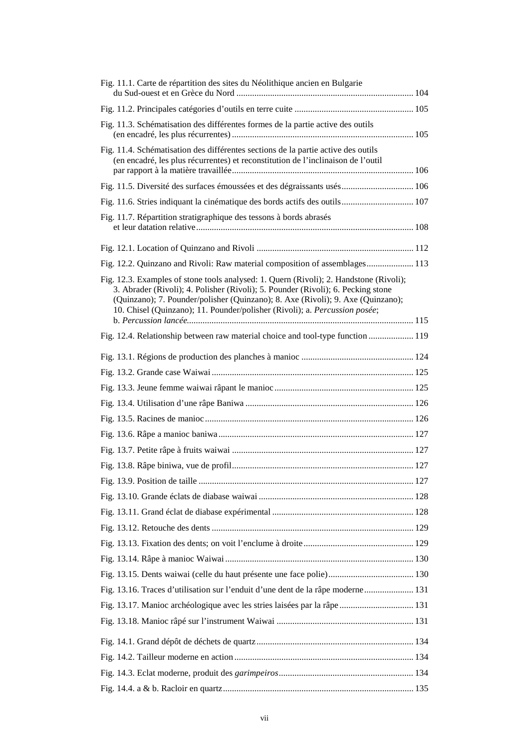| Fig. 11.1. Carte de répartition des sites du Néolithique ancien en Bulgarie                                                                                                                                                                                                                                                                 |  |
|---------------------------------------------------------------------------------------------------------------------------------------------------------------------------------------------------------------------------------------------------------------------------------------------------------------------------------------------|--|
|                                                                                                                                                                                                                                                                                                                                             |  |
| Fig. 11.3. Schématisation des différentes formes de la partie active des outils                                                                                                                                                                                                                                                             |  |
|                                                                                                                                                                                                                                                                                                                                             |  |
| Fig. 11.4. Schématisation des différentes sections de la partie active des outils<br>(en encadré, les plus récurrentes) et reconstitution de l'inclinaison de l'outil                                                                                                                                                                       |  |
|                                                                                                                                                                                                                                                                                                                                             |  |
|                                                                                                                                                                                                                                                                                                                                             |  |
| Fig. 11.7. Répartition stratigraphique des tessons à bords abrasés                                                                                                                                                                                                                                                                          |  |
|                                                                                                                                                                                                                                                                                                                                             |  |
| Fig. 12.2. Quinzano and Rivoli: Raw material composition of assemblages 113                                                                                                                                                                                                                                                                 |  |
| Fig. 12.3. Examples of stone tools analysed: 1. Quern (Rivoli); 2. Handstone (Rivoli);<br>3. Abrader (Rivoli); 4. Polisher (Rivoli); 5. Pounder (Rivoli); 6. Pecking stone<br>(Quinzano); 7. Pounder/polisher (Quinzano); 8. Axe (Rivoli); 9. Axe (Quinzano);<br>10. Chisel (Quinzano); 11. Pounder/polisher (Rivoli); a. Percussion posée; |  |
| Fig. 12.4. Relationship between raw material choice and tool-type function  119                                                                                                                                                                                                                                                             |  |
|                                                                                                                                                                                                                                                                                                                                             |  |
|                                                                                                                                                                                                                                                                                                                                             |  |
|                                                                                                                                                                                                                                                                                                                                             |  |
|                                                                                                                                                                                                                                                                                                                                             |  |
|                                                                                                                                                                                                                                                                                                                                             |  |
|                                                                                                                                                                                                                                                                                                                                             |  |
|                                                                                                                                                                                                                                                                                                                                             |  |
|                                                                                                                                                                                                                                                                                                                                             |  |
|                                                                                                                                                                                                                                                                                                                                             |  |
|                                                                                                                                                                                                                                                                                                                                             |  |
|                                                                                                                                                                                                                                                                                                                                             |  |
|                                                                                                                                                                                                                                                                                                                                             |  |
|                                                                                                                                                                                                                                                                                                                                             |  |
|                                                                                                                                                                                                                                                                                                                                             |  |
|                                                                                                                                                                                                                                                                                                                                             |  |
| Fig. 13.16. Traces d'utilisation sur l'enduit d'une dent de la râpe moderne 131                                                                                                                                                                                                                                                             |  |
|                                                                                                                                                                                                                                                                                                                                             |  |
|                                                                                                                                                                                                                                                                                                                                             |  |
|                                                                                                                                                                                                                                                                                                                                             |  |
|                                                                                                                                                                                                                                                                                                                                             |  |
|                                                                                                                                                                                                                                                                                                                                             |  |
|                                                                                                                                                                                                                                                                                                                                             |  |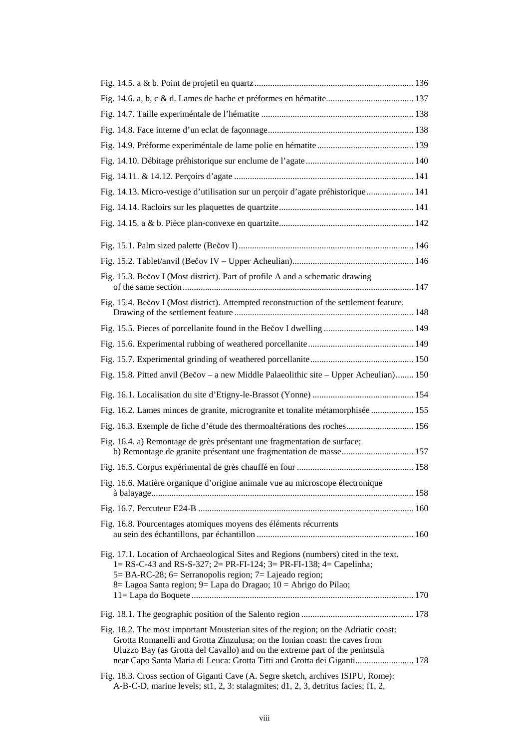| Fig. 14.13. Micro-vestige d'utilisation sur un perçoir d'agate préhistorique 141                                                                                                                                                                                                                                             |  |
|------------------------------------------------------------------------------------------------------------------------------------------------------------------------------------------------------------------------------------------------------------------------------------------------------------------------------|--|
|                                                                                                                                                                                                                                                                                                                              |  |
|                                                                                                                                                                                                                                                                                                                              |  |
|                                                                                                                                                                                                                                                                                                                              |  |
|                                                                                                                                                                                                                                                                                                                              |  |
| Fig. 15.3. Bečov I (Most district). Part of profile A and a schematic drawing                                                                                                                                                                                                                                                |  |
| Fig. 15.4. Bečov I (Most district). Attempted reconstruction of the settlement feature.                                                                                                                                                                                                                                      |  |
|                                                                                                                                                                                                                                                                                                                              |  |
|                                                                                                                                                                                                                                                                                                                              |  |
|                                                                                                                                                                                                                                                                                                                              |  |
| Fig. 15.8. Pitted anvil (Bečov – a new Middle Palaeolithic site – Upper Acheulian) 150                                                                                                                                                                                                                                       |  |
|                                                                                                                                                                                                                                                                                                                              |  |
| Fig. 16.2. Lames minces de granite, microgranite et tonalite métamorphisée  155                                                                                                                                                                                                                                              |  |
| Fig. 16.3. Exemple de fiche d'étude des thermoaltérations des roches 156                                                                                                                                                                                                                                                     |  |
| Fig. 16.4. a) Remontage de grès présentant une fragmentation de surface;<br>b) Remontage de granite présentant une fragmentation de masse 157                                                                                                                                                                                |  |
|                                                                                                                                                                                                                                                                                                                              |  |
| Fig. 16.6. Matière organique d'origine animale vue au microscope électronique                                                                                                                                                                                                                                                |  |
|                                                                                                                                                                                                                                                                                                                              |  |
| Fig. 16.8. Pourcentages atomiques moyens des éléments récurrents                                                                                                                                                                                                                                                             |  |
| Fig. 17.1. Location of Archaeological Sites and Regions (numbers) cited in the text.<br>1= RS-C-43 and RS-S-327; 2= PR-FI-124; 3= PR-FI-138; 4= Capelinha;<br>5 = BA-RC-28; 6 = Serranopolis region; 7 = Lajeado region;<br>8= Lagoa Santa region; 9= Lapa do Dragao; 10 = Abrigo do Pilao;                                  |  |
|                                                                                                                                                                                                                                                                                                                              |  |
| Fig. 18.2. The most important Mousterian sites of the region; on the Adriatic coast:<br>Grotta Romanelli and Grotta Zinzulusa; on the Ionian coast: the caves from<br>Uluzzo Bay (as Grotta del Cavallo) and on the extreme part of the peninsula<br>near Capo Santa Maria di Leuca: Grotta Titti and Grotta dei Giganti 178 |  |
| Fig. 18.3. Cross section of Giganti Cave (A. Segre sketch, archives ISIPU, Rome):<br>A-B-C-D, marine levels; st1, 2, 3: stalagmites; d1, 2, 3, detritus facies; f1, 2,                                                                                                                                                       |  |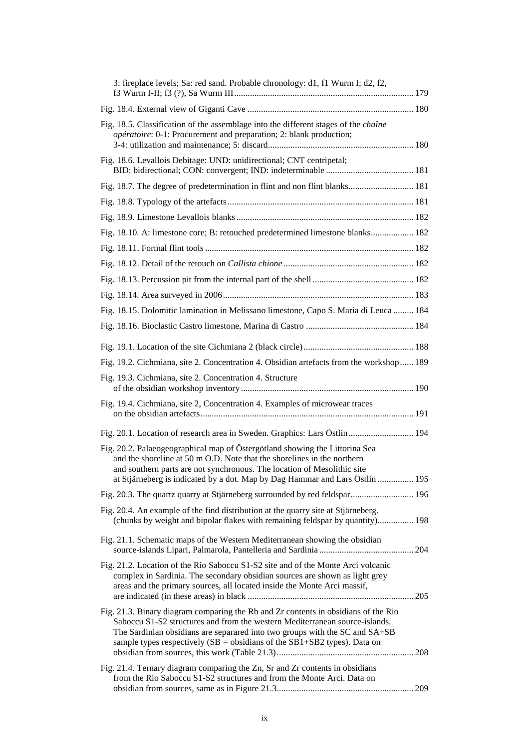| 3: fireplace levels; Sa: red sand. Probable chronology: d1, f1 Wurm I; d2, f2,                                                                                                                                                                                                                                                    |
|-----------------------------------------------------------------------------------------------------------------------------------------------------------------------------------------------------------------------------------------------------------------------------------------------------------------------------------|
|                                                                                                                                                                                                                                                                                                                                   |
| Fig. 18.5. Classification of the assemblage into the different stages of the <i>chaîne</i><br>opératoire: 0-1: Procurement and preparation; 2: blank production;                                                                                                                                                                  |
| Fig. 18.6. Levallois Debitage: UND: unidirectional; CNT centripetal;                                                                                                                                                                                                                                                              |
| Fig. 18.7. The degree of predetermination in flint and non flint blanks 181                                                                                                                                                                                                                                                       |
|                                                                                                                                                                                                                                                                                                                                   |
|                                                                                                                                                                                                                                                                                                                                   |
| Fig. 18.10. A: limestone core; B: retouched predetermined limestone blanks 182                                                                                                                                                                                                                                                    |
|                                                                                                                                                                                                                                                                                                                                   |
|                                                                                                                                                                                                                                                                                                                                   |
|                                                                                                                                                                                                                                                                                                                                   |
|                                                                                                                                                                                                                                                                                                                                   |
| Fig. 18.15. Dolomitic lamination in Melissano limestone, Capo S. Maria di Leuca  184                                                                                                                                                                                                                                              |
|                                                                                                                                                                                                                                                                                                                                   |
|                                                                                                                                                                                                                                                                                                                                   |
| Fig. 19.2. Cichmiana, site 2. Concentration 4. Obsidian artefacts from the workshop 189                                                                                                                                                                                                                                           |
| Fig. 19.3. Cichmiana, site 2. Concentration 4. Structure                                                                                                                                                                                                                                                                          |
| Fig. 19.4. Cichmiana, site 2, Concentration 4. Examples of microwear traces                                                                                                                                                                                                                                                       |
|                                                                                                                                                                                                                                                                                                                                   |
| Fig. 20.2. Palaeogeographical map of Östergötland showing the Littorina Sea<br>and the shoreline at 50 m O.D. Note that the shorelines in the northern<br>and southern parts are not synchronous. The location of Mesolithic site<br>at Stjärneberg is indicated by a dot. Map by Dag Hammar and Lars Östlin  195                 |
| Fig. 20.3. The quartz quarry at Stjärneberg surrounded by red feldspar 196                                                                                                                                                                                                                                                        |
| Fig. 20.4. An example of the find distribution at the quarry site at Stjärneberg.<br>(chunks by weight and bipolar flakes with remaining feldspar by quantity) 198                                                                                                                                                                |
| Fig. 21.1. Schematic maps of the Western Mediterranean showing the obsidian                                                                                                                                                                                                                                                       |
| Fig. 21.2. Location of the Rio Saboccu S1-S2 site and of the Monte Arci volcanic<br>complex in Sardinia. The secondary obsidian sources are shown as light grey<br>areas and the primary sources, all located inside the Monte Arci massif,                                                                                       |
| Fig. 21.3. Binary diagram comparing the Rb and Zr contents in obsidians of the Rio<br>Saboccu S1-S2 structures and from the western Mediterranean source-islands.<br>The Sardinian obsidians are separared into two groups with the SC and SA+SB<br>sample types respectively ( $SB =$ obsidians of the $SB1+SB2$ types). Data on |
| Fig. 21.4. Ternary diagram comparing the Zn, Sr and Zr contents in obsidians<br>from the Rio Saboccu S1-S2 structures and from the Monte Arci. Data on                                                                                                                                                                            |
|                                                                                                                                                                                                                                                                                                                                   |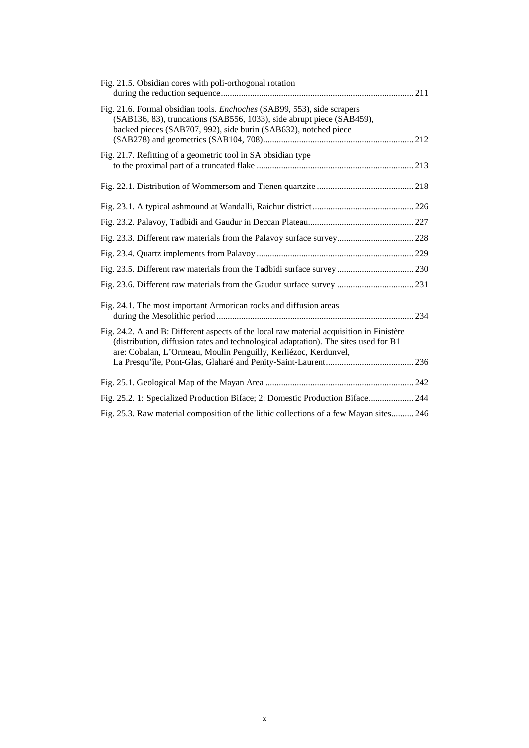| Fig. 21.5. Obsidian cores with poli-orthogonal rotation                                                                                                                                                                                            |
|----------------------------------------------------------------------------------------------------------------------------------------------------------------------------------------------------------------------------------------------------|
| Fig. 21.6. Formal obsidian tools. Enchoches (SAB99, 553), side scrapers<br>(SAB136, 83), truncations (SAB556, 1033), side abrupt piece (SAB459),<br>backed pieces (SAB707, 992), side burin (SAB632), notched piece                                |
| Fig. 21.7. Refitting of a geometric tool in SA obsidian type                                                                                                                                                                                       |
|                                                                                                                                                                                                                                                    |
|                                                                                                                                                                                                                                                    |
|                                                                                                                                                                                                                                                    |
| Fig. 23.3. Different raw materials from the Palavoy surface survey 228                                                                                                                                                                             |
|                                                                                                                                                                                                                                                    |
| Fig. 23.5. Different raw materials from the Tadbidi surface survey  230                                                                                                                                                                            |
| Fig. 23.6. Different raw materials from the Gaudur surface survey  231                                                                                                                                                                             |
| Fig. 24.1. The most important Armorican rocks and diffusion areas                                                                                                                                                                                  |
| Fig. 24.2. A and B: Different aspects of the local raw material acquisition in Finistère<br>(distribution, diffusion rates and technological adaptation). The sites used for B1<br>are: Cobalan, L'Ormeau, Moulin Penguilly, Kerliézoc, Kerdunvel, |
|                                                                                                                                                                                                                                                    |
|                                                                                                                                                                                                                                                    |
| Fig. 25.2. 1: Specialized Production Biface; 2: Domestic Production Biface 244                                                                                                                                                                     |
| Fig. 25.3. Raw material composition of the lithic collections of a few Mayan sites 246                                                                                                                                                             |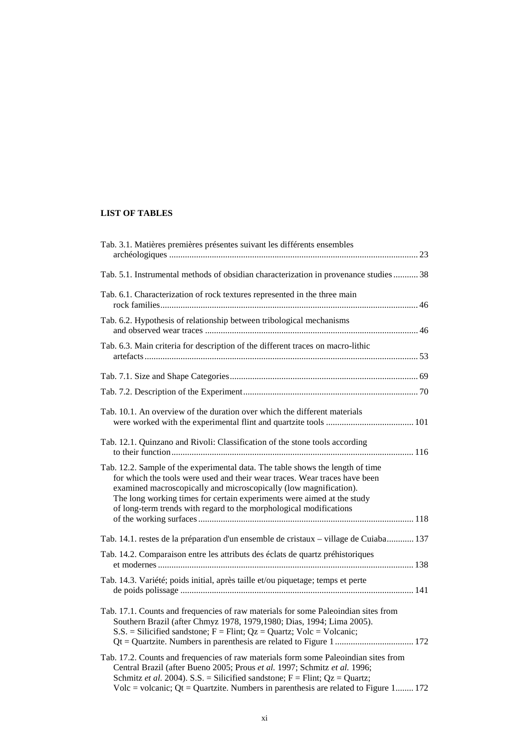## **LIST OF TABLES**

| Tab. 3.1. Matières premières présentes suivant les différents ensembles                                                                                                                                                                                                                                                                                                           |
|-----------------------------------------------------------------------------------------------------------------------------------------------------------------------------------------------------------------------------------------------------------------------------------------------------------------------------------------------------------------------------------|
| Tab. 5.1. Instrumental methods of obsidian characterization in provenance studies 38                                                                                                                                                                                                                                                                                              |
| Tab. 6.1. Characterization of rock textures represented in the three main                                                                                                                                                                                                                                                                                                         |
| Tab. 6.2. Hypothesis of relationship between tribological mechanisms                                                                                                                                                                                                                                                                                                              |
| Tab. 6.3. Main criteria for description of the different traces on macro-lithic                                                                                                                                                                                                                                                                                                   |
|                                                                                                                                                                                                                                                                                                                                                                                   |
|                                                                                                                                                                                                                                                                                                                                                                                   |
| Tab. 10.1. An overview of the duration over which the different materials                                                                                                                                                                                                                                                                                                         |
| Tab. 12.1. Quinzano and Rivoli: Classification of the stone tools according                                                                                                                                                                                                                                                                                                       |
| Tab. 12.2. Sample of the experimental data. The table shows the length of time<br>for which the tools were used and their wear traces. Wear traces have been<br>examined macroscopically and microscopically (low magnification).<br>The long working times for certain experiments were aimed at the study<br>of long-term trends with regard to the morphological modifications |
| Tab. 14.1. restes de la préparation d'un ensemble de cristaux – village de Cuiaba 137                                                                                                                                                                                                                                                                                             |
| Tab. 14.2. Comparaison entre les attributs des éclats de quartz préhistoriques                                                                                                                                                                                                                                                                                                    |
| Tab. 14.3. Variété; poids initial, après taille et/ou piquetage; temps et perte                                                                                                                                                                                                                                                                                                   |
| Tab. 17.1. Counts and frequencies of raw materials for some Paleoindian sites from<br>Southern Brazil (after Chmyz 1978, 1979, 1980; Dias, 1994; Lima 2005).<br>$S.S.$ = Silicified sandstone; F = Flint; Qz = Quartz; Volc = Volcanic;                                                                                                                                           |
| Tab. 17.2. Counts and frequencies of raw materials form some Paleoindian sites from<br>Central Brazil (after Bueno 2005; Prous et al. 1997; Schmitz et al. 1996;<br>Schmitz et al. 2004). S.S. = Silicified sandstone; $F =$ Flint; $Qz =$ Quartz;<br>Volc = volcanic; Qt = Quartzite. Numbers in parenthesis are related to Figure 1 172                                         |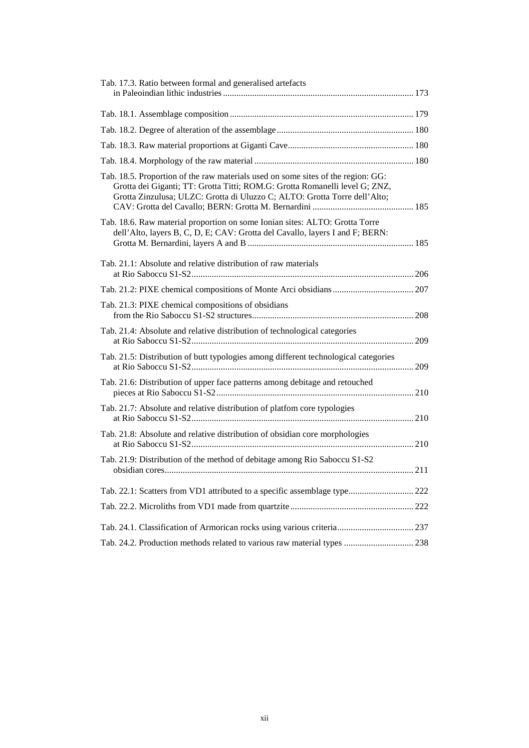| Tab. 17.3. Ratio between formal and generalised artefacts                                                                                                                                                                                    |  |
|----------------------------------------------------------------------------------------------------------------------------------------------------------------------------------------------------------------------------------------------|--|
|                                                                                                                                                                                                                                              |  |
|                                                                                                                                                                                                                                              |  |
|                                                                                                                                                                                                                                              |  |
|                                                                                                                                                                                                                                              |  |
| Tab. 18.5. Proportion of the raw materials used on some sites of the region: GG:<br>Grotta dei Giganti; TT: Grotta Titti; ROM.G: Grotta Romanelli level G; ZNZ,<br>Grotta Zinzulusa; ULZC: Grotta di Uluzzo C; ALTO: Grotta Torre dell'Alto; |  |
| Tab. 18.6. Raw material proportion on some Ionian sites: ALTO: Grotta Torre<br>dell'Alto, layers B, C, D, E; CAV: Grotta del Cavallo, layers I and F; BERN:                                                                                  |  |
| Tab. 21.1: Absolute and relative distribution of raw materials                                                                                                                                                                               |  |
|                                                                                                                                                                                                                                              |  |
| Tab. 21.3: PIXE chemical compositions of obsidians                                                                                                                                                                                           |  |
| Tab. 21.4: Absolute and relative distribution of technological categories                                                                                                                                                                    |  |
| Tab. 21.5: Distribution of butt typologies among different technological categories                                                                                                                                                          |  |
| Tab. 21.6: Distribution of upper face patterns among debitage and retouched                                                                                                                                                                  |  |
| Tab. 21.7: Absolute and relative distribution of platfom core typologies                                                                                                                                                                     |  |
| Tab. 21.8: Absolute and relative distribution of obsidian core morphologies                                                                                                                                                                  |  |
| Tab. 21.9: Distribution of the method of debitage among Rio Saboccu S1-S2                                                                                                                                                                    |  |
| Tab. 22.1: Scatters from VD1 attributed to a specific assemblage type 222                                                                                                                                                                    |  |
|                                                                                                                                                                                                                                              |  |
|                                                                                                                                                                                                                                              |  |
| Tab. 24.2. Production methods related to various raw material types  238                                                                                                                                                                     |  |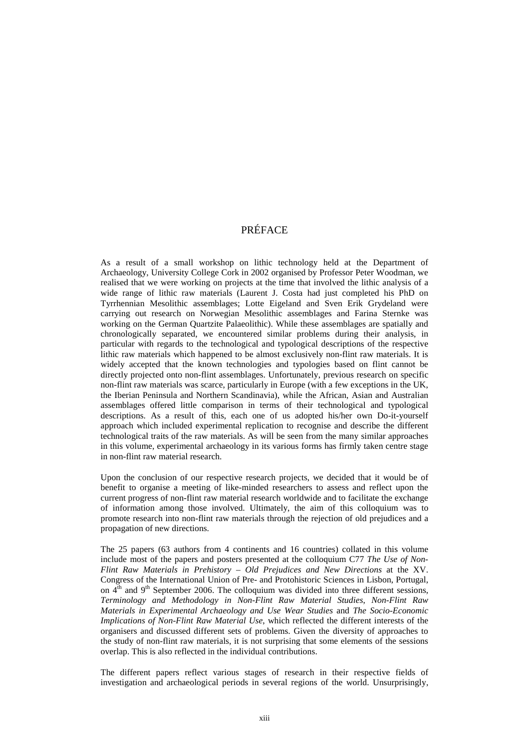# PRÉFACE

As a result of a small workshop on lithic technology held at the Department of Archaeology, University College Cork in 2002 organised by Professor Peter Woodman, we realised that we were working on projects at the time that involved the lithic analysis of a wide range of lithic raw materials (Laurent J. Costa had just completed his PhD on Tyrrhennian Mesolithic assemblages; Lotte Eigeland and Sven Erik Grydeland were carrying out research on Norwegian Mesolithic assemblages and Farina Sternke was working on the German Quartzite Palaeolithic). While these assemblages are spatially and chronologically separated, we encountered similar problems during their analysis, in particular with regards to the technological and typological descriptions of the respective lithic raw materials which happened to be almost exclusively non-flint raw materials. It is widely accepted that the known technologies and typologies based on flint cannot be directly projected onto non-flint assemblages. Unfortunately, previous research on specific non-flint raw materials was scarce, particularly in Europe (with a few exceptions in the UK, the Iberian Peninsula and Northern Scandinavia), while the African, Asian and Australian assemblages offered little comparison in terms of their technological and typological descriptions. As a result of this, each one of us adopted his/her own Do-it-yourself approach which included experimental replication to recognise and describe the different technological traits of the raw materials. As will be seen from the many similar approaches in this volume, experimental archaeology in its various forms has firmly taken centre stage in non-flint raw material research.

Upon the conclusion of our respective research projects, we decided that it would be of benefit to organise a meeting of like-minded researchers to assess and reflect upon the current progress of non-flint raw material research worldwide and to facilitate the exchange of information among those involved. Ultimately, the aim of this colloquium was to promote research into non-flint raw materials through the rejection of old prejudices and a propagation of new directions.

The 25 papers (63 authors from 4 continents and 16 countries) collated in this volume include most of the papers and posters presented at the colloquium C77 *The Use of Non-Flint Raw Materials in Prehistory – Old Prejudices and New Directions* at the XV. Congress of the International Union of Pre- and Protohistoric Sciences in Lisbon, Portugal, on  $4<sup>th</sup>$  and  $9<sup>th</sup>$  September 2006. The colloquium was divided into three different sessions, *Terminology and Methodology in Non-Flint Raw Material Studies*, *Non-Flint Raw Materials in Experimental Archaeology and Use Wear Studies* and *The Socio-Economic Implications of Non-Flint Raw Material Use*, which reflected the different interests of the organisers and discussed different sets of problems. Given the diversity of approaches to the study of non-flint raw materials, it is not surprising that some elements of the sessions overlap. This is also reflected in the individual contributions.

The different papers reflect various stages of research in their respective fields of investigation and archaeological periods in several regions of the world. Unsurprisingly,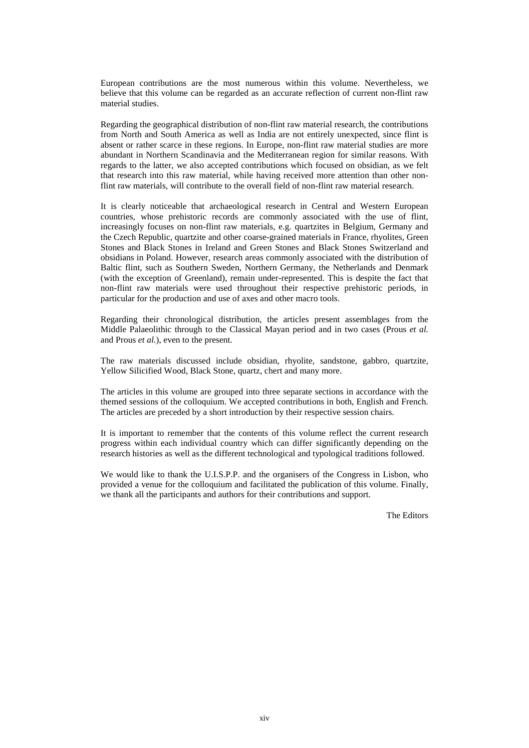European contributions are the most numerous within this volume. Nevertheless, we believe that this volume can be regarded as an accurate reflection of current non-flint raw material studies.

Regarding the geographical distribution of non-flint raw material research, the contributions from North and South America as well as India are not entirely unexpected, since flint is absent or rather scarce in these regions. In Europe, non-flint raw material studies are more abundant in Northern Scandinavia and the Mediterranean region for similar reasons. With regards to the latter, we also accepted contributions which focused on obsidian, as we felt that research into this raw material, while having received more attention than other nonflint raw materials, will contribute to the overall field of non-flint raw material research.

It is clearly noticeable that archaeological research in Central and Western European countries, whose prehistoric records are commonly associated with the use of flint, increasingly focuses on non-flint raw materials, e.g. quartzites in Belgium, Germany and the Czech Republic, quartzite and other coarse-grained materials in France, rhyolites, Green Stones and Black Stones in Ireland and Green Stones and Black Stones Switzerland and obsidians in Poland. However, research areas commonly associated with the distribution of Baltic flint, such as Southern Sweden, Northern Germany, the Netherlands and Denmark (with the exception of Greenland), remain under-represented. This is despite the fact that non-flint raw materials were used throughout their respective prehistoric periods, in particular for the production and use of axes and other macro tools.

Regarding their chronological distribution, the articles present assemblages from the Middle Palaeolithic through to the Classical Mayan period and in two cases (Prous *et al.*  and Prous *et al.*), even to the present.

The raw materials discussed include obsidian, rhyolite, sandstone, gabbro, quartzite, Yellow Silicified Wood, Black Stone, quartz, chert and many more.

The articles in this volume are grouped into three separate sections in accordance with the themed sessions of the colloquium. We accepted contributions in both, English and French. The articles are preceded by a short introduction by their respective session chairs.

It is important to remember that the contents of this volume reflect the current research progress within each individual country which can differ significantly depending on the research histories as well as the different technological and typological traditions followed.

We would like to thank the U.I.S.P.P. and the organisers of the Congress in Lisbon, who provided a venue for the colloquium and facilitated the publication of this volume. Finally, we thank all the participants and authors for their contributions and support.

The Editors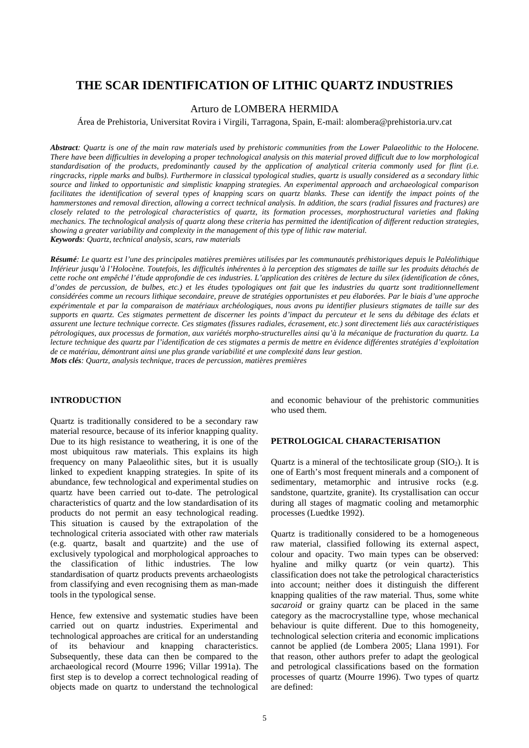# **THE SCAR IDENTIFICATION OF LITHIC QUARTZ INDUSTRIES**

## Arturo de LOMBERA HERMIDA

Área de Prehistoria, Universitat Rovira i Virgili, Tarragona, Spain, E-mail: alombera@prehistoria.urv.cat

*Abstract: Quartz is one of the main raw materials used by prehistoric communities from the Lower Palaeolithic to the Holocene. There have been difficulties in developing a proper technological analysis on this material proved difficult due to low morphological standardisation of the products, predominantly caused by the application of analytical criteria commonly used for flint (i.e. ringcracks, ripple marks and bulbs). Furthermore in classical typological studies, quartz is usually considered as a secondary lithic source and linked to opportunistic and simplistic knapping strategies. An experimental approach and archaeological comparison facilitates the identification of several types of knapping scars on quartz blanks. These can identify the impact points of the hammerstones and removal direction, allowing a correct technical analysis. In addition, the scars (radial fissures and fractures) are closely related to the petrological characteristics of quartz, its formation processes, morphostructural varieties and flaking mechanics. The technological analysis of quartz along these criteria has permitted the identification of different reduction strategies, showing a greater variability and complexity in the management of this type of lithic raw material. Keywords: Quartz, technical analysis, scars, raw materials* 

*Résumé: Le quartz est l'une des principales matières premières utilisées par les communautés préhistoriques depuis le Paléolithique Inférieur jusqu'à l'Holocène. Toutefois, les difficultés inhérentes à la perception des stigmates de taille sur les produits détachés de cette roche ont empêché l'étude approfondie de ces industries. L'application des critères de lecture du silex (identification de cônes, d'ondes de percussion, de bulbes, etc.) et les études typologiques ont fait que les industries du quartz sont traditionnellement considérées comme un recours lithique secondaire, preuve de stratégies opportunistes et peu élaborées. Par le biais d'une approche expérimentale et par la comparaison de matériaux archéologiques, nous avons pu identifier plusieurs stigmates de taille sur des supports en quartz. Ces stigmates permettent de discerner les points d'impact du percuteur et le sens du débitage des éclats et assurent une lecture technique correcte. Ces stigmates (fissures radiales, écrasement, etc.) sont directement liés aux caractéristiques pétrologiques, aux processus de formation, aux variétés morpho-structurelles ainsi qu'à la mécanique de fracturation du quartz. La lecture technique des quartz par l'identification de ces stigmates a permis de mettre en évidence différentes stratégies d'exploitation de ce matériau, démontrant ainsi une plus grande variabilité et une complexité dans leur gestion. Mots clés: Quartz, analysis technique, traces de percussion, matières premières* 

#### **INTRODUCTION**

Quartz is traditionally considered to be a secondary raw material resource, because of its inferior knapping quality. Due to its high resistance to weathering, it is one of the most ubiquitous raw materials. This explains its high frequency on many Palaeolithic sites, but it is usually linked to expedient knapping strategies. In spite of its abundance, few technological and experimental studies on quartz have been carried out to-date. The petrological characteristics of quartz and the low standardisation of its products do not permit an easy technological reading. This situation is caused by the extrapolation of the technological criteria associated with other raw materials (e.g. quartz, basalt and quartzite) and the use of exclusively typological and morphological approaches to the classification of lithic industries. The low standardisation of quartz products prevents archaeologists from classifying and even recognising them as man-made tools in the typological sense.

Hence, few extensive and systematic studies have been carried out on quartz industries. Experimental and technological approaches are critical for an understanding of its behaviour and knapping characteristics. Subsequently, these data can then be compared to the archaeological record (Mourre 1996; Villar 1991a). The first step is to develop a correct technological reading of objects made on quartz to understand the technological

and economic behaviour of the prehistoric communities who used them.

#### **PETROLOGICAL CHARACTERISATION**

Quartz is a mineral of the techtosilicate group  $(SIO<sub>2</sub>)$ . It is one of Earth's most frequent minerals and a component of sedimentary, metamorphic and intrusive rocks (e.g. sandstone, quartzite, granite). Its crystallisation can occur during all stages of magmatic cooling and metamorphic processes (Luedtke 1992).

Quartz is traditionally considered to be a homogeneous raw material, classified following its external aspect, colour and opacity. Two main types can be observed: hyaline and milky quartz (or vein quartz). This classification does not take the petrological characteristics into account; neither does it distinguish the different knapping qualities of the raw material. Thus, some white *sacaroid* or grainy quartz can be placed in the same category as the macrocrystalline type, whose mechanical behaviour is quite different. Due to this homogeneity, technological selection criteria and economic implications cannot be applied (de Lombera 2005; Llana 1991). For that reason, other authors prefer to adapt the geological and petrological classifications based on the formation processes of quartz (Mourre 1996). Two types of quartz are defined: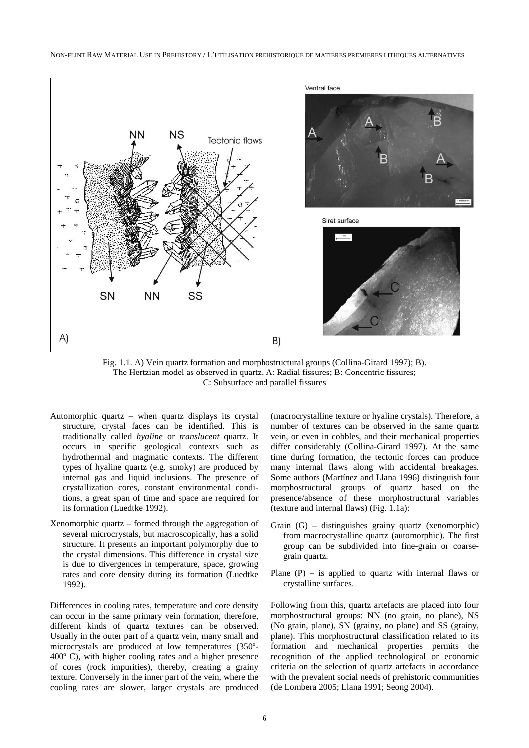

Fig. 1.1. A) Vein quartz formation and morphostructural groups (Collina-Girard 1997); B). The Hertzian model as observed in quartz. A: Radial fissures; B: Concentric fissures; C: Subsurface and parallel fissures

- Automorphic quartz when quartz displays its crystal structure, crystal faces can be identified. This is traditionally called *hyaline* or *translucent* quartz. It occurs in specific geological contexts such as hydrothermal and magmatic contexts. The different types of hyaline quartz (e.g. smoky) are produced by internal gas and liquid inclusions. The presence of crystallization cores, constant environmental conditions, a great span of time and space are required for its formation (Luedtke 1992).
- Xenomorphic quartz formed through the aggregation of several microcrystals, but macroscopically, has a solid structure. It presents an important polymorphy due to the crystal dimensions. This difference in crystal size is due to divergences in temperature, space, growing rates and core density during its formation (Luedtke 1992).

Differences in cooling rates, temperature and core density can occur in the same primary vein formation, therefore, different kinds of quartz textures can be observed. Usually in the outer part of a quartz vein, many small and microcrystals are produced at low temperatures (350º-400º C), with higher cooling rates and a higher presence of cores (rock impurities), thereby, creating a grainy texture. Conversely in the inner part of the vein, where the cooling rates are slower, larger crystals are produced

(macrocrystalline texture or hyaline crystals). Therefore, a number of textures can be observed in the same quartz vein, or even in cobbles, and their mechanical properties differ considerably (Collina-Girard 1997). At the same time during formation, the tectonic forces can produce many internal flaws along with accidental breakages. Some authors (Martínez and Llana 1996) distinguish four morphostructural groups of quartz based on the presence/absence of these morphostructural variables (texture and internal flaws) (Fig. 1.1a):

- Grain (G) distinguishes grainy quartz (xenomorphic) from macrocrystalline quartz (automorphic). The first group can be subdivided into fine-grain or coarsegrain quartz.
- Plane  $(P)$  is applied to quartz with internal flaws or crystalline surfaces.

Following from this, quartz artefacts are placed into four morphostructural groups: NN (no grain, no plane), NS (No grain, plane), SN (grainy, no plane) and SS (grainy, plane). This morphostructural classification related to its formation and mechanical properties permits the recognition of the applied technological or economic criteria on the selection of quartz artefacts in accordance with the prevalent social needs of prehistoric communities (de Lombera 2005; Llana 1991; Seong 2004).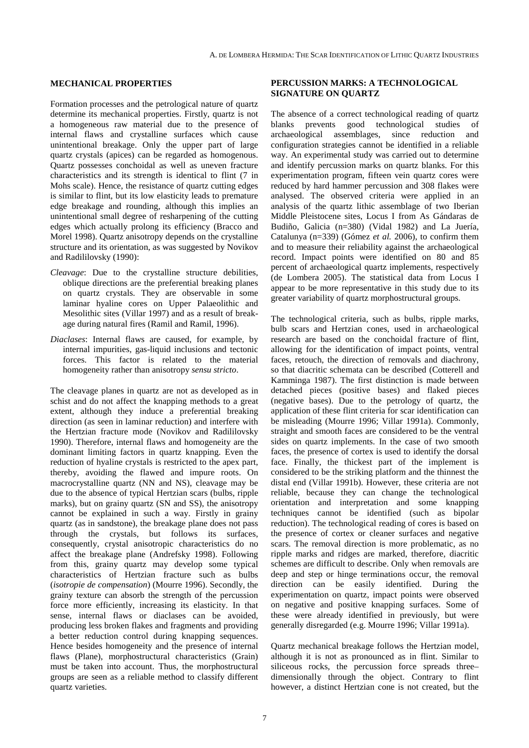## **MECHANICAL PROPERTIES**

Formation processes and the petrological nature of quartz determine its mechanical properties. Firstly, quartz is not a homogeneous raw material due to the presence of internal flaws and crystalline surfaces which cause unintentional breakage. Only the upper part of large quartz crystals (apices) can be regarded as homogenous. Quartz possesses conchoidal as well as uneven fracture characteristics and its strength is identical to flint (7 in Mohs scale). Hence, the resistance of quartz cutting edges is similar to flint, but its low elasticity leads to premature edge breakage and rounding, although this implies an unintentional small degree of resharpening of the cutting edges which actually prolong its efficiency (Bracco and Morel 1998). Quartz anisotropy depends on the crystalline structure and its orientation, as was suggested by Novikov and Radililovsky (1990):

- *Cleavage*: Due to the crystalline structure debilities, oblique directions are the preferential breaking planes on quartz crystals. They are observable in some laminar hyaline cores on Upper Palaeolithic and Mesolithic sites (Villar 1997) and as a result of breakage during natural fires (Ramil and Ramil, 1996).
- *Diaclases*: Internal flaws are caused, for example, by internal impurities, gas-liquid inclusions and tectonic forces. This factor is related to the material homogeneity rather than anisotropy *sensu stricto*.

The cleavage planes in quartz are not as developed as in schist and do not affect the knapping methods to a great extent, although they induce a preferential breaking direction (as seen in laminar reduction) and interfere with the Hertzian fracture mode (Novikov and Radililovsky 1990). Therefore, internal flaws and homogeneity are the dominant limiting factors in quartz knapping. Even the reduction of hyaline crystals is restricted to the apex part, thereby, avoiding the flawed and impure roots. On macrocrystalline quartz (NN and NS), cleavage may be due to the absence of typical Hertzian scars (bulbs, ripple marks), but on grainy quartz (SN and SS), the anisotropy cannot be explained in such a way. Firstly in grainy quartz (as in sandstone), the breakage plane does not pass through the crystals, but follows its surfaces, consequently, crystal anisotropic characteristics do no affect the breakage plane (Andrefsky 1998). Following from this, grainy quartz may develop some typical characteristics of Hertzian fracture such as bulbs (*isotropie de compensation*) (Mourre 1996). Secondly, the grainy texture can absorb the strength of the percussion force more efficiently, increasing its elasticity. In that sense, internal flaws or diaclases can be avoided, producing less broken flakes and fragments and providing a better reduction control during knapping sequences. Hence besides homogeneity and the presence of internal flaws (Plane), morphostructural characteristics (Grain) must be taken into account. Thus, the morphostructural groups are seen as a reliable method to classify different quartz varieties.

### **PERCUSSION MARKS: A TECHNOLOGICAL SIGNATURE ON QUARTZ**

The absence of a correct technological reading of quartz blanks prevents good technological studies of archaeological assemblages, since reduction and configuration strategies cannot be identified in a reliable way. An experimental study was carried out to determine and identify percussion marks on quartz blanks. For this experimentation program, fifteen vein quartz cores were reduced by hard hammer percussion and 308 flakes were analysed. The observed criteria were applied in an analysis of the quartz lithic assemblage of two Iberian Middle Pleistocene sites, Locus I from As Gándaras de Budiño, Galicia (n=380) (Vidal 1982) and La Juería, Catalunya (n=339) (Gómez *et al.* 2006), to confirm them and to measure their reliability against the archaeological record. Impact points were identified on 80 and 85 percent of archaeological quartz implements, respectively (de Lombera 2005). The statistical data from Locus I appear to be more representative in this study due to its greater variability of quartz morphostructural groups.

The technological criteria, such as bulbs, ripple marks, bulb scars and Hertzian cones, used in archaeological research are based on the conchoidal fracture of flint, allowing for the identification of impact points, ventral faces, retouch, the direction of removals and diachrony, so that diacritic schemata can be described (Cotterell and Kamminga 1987). The first distinction is made between detached pieces (positive bases) and flaked pieces (negative bases). Due to the petrology of quartz, the application of these flint criteria for scar identification can be misleading (Mourre 1996; Villar 1991a). Commonly, straight and smooth faces are considered to be the ventral sides on quartz implements. In the case of two smooth faces, the presence of cortex is used to identify the dorsal face. Finally, the thickest part of the implement is considered to be the striking platform and the thinnest the distal end (Villar 1991b). However, these criteria are not reliable, because they can change the technological orientation and interpretation and some knapping techniques cannot be identified (such as bipolar reduction). The technological reading of cores is based on the presence of cortex or cleaner surfaces and negative scars. The removal direction is more problematic, as no ripple marks and ridges are marked, therefore, diacritic schemes are difficult to describe. Only when removals are deep and step or hinge terminations occur, the removal direction can be easily identified. During the experimentation on quartz, impact points were observed on negative and positive knapping surfaces. Some of these were already identified in previously, but were generally disregarded (e.g. Mourre 1996; Villar 1991a).

Quartz mechanical breakage follows the Hertzian model, although it is not as pronounced as in flint. Similar to siliceous rocks, the percussion force spreads three– dimensionally through the object. Contrary to flint however, a distinct Hertzian cone is not created, but the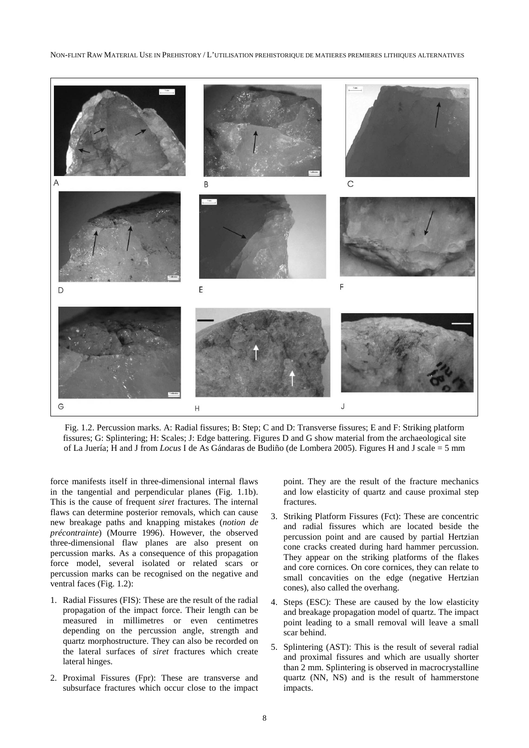#### NON-FLINT RAW MATERIAL USE IN PREHISTORY / L'UTILISATION PREHISTORIQUE DE MATIERES PREMIERES LITHIQUES ALTERNATIVES



Fig. 1.2. Percussion marks. A: Radial fissures; B: Step; C and D: Transverse fissures; E and F: Striking platform fissures; G: Splintering; H: Scales; J: Edge battering. Figures D and G show material from the archaeological site of La Juería; H and J from *Locus* I de As Gándaras de Budiño (de Lombera 2005). Figures H and J scale = 5 mm

force manifests itself in three-dimensional internal flaws in the tangential and perpendicular planes (Fig. 1.1b). This is the cause of frequent *siret* fractures. The internal flaws can determine posterior removals, which can cause new breakage paths and knapping mistakes (*notion de précontrainte*) (Mourre 1996). However, the observed three-dimensional flaw planes are also present on percussion marks. As a consequence of this propagation force model, several isolated or related scars or percussion marks can be recognised on the negative and ventral faces (Fig. 1.2):

- 1. Radial Fissures (FIS): These are the result of the radial propagation of the impact force. Their length can be measured in millimetres or even centimetres depending on the percussion angle, strength and quartz morphostructure. They can also be recorded on the lateral surfaces of *siret* fractures which create lateral hinges.
- 2. Proximal Fissures (Fpr): These are transverse and subsurface fractures which occur close to the impact

point. They are the result of the fracture mechanics and low elasticity of quartz and cause proximal step fractures.

- 3. Striking Platform Fissures (Fct): These are concentric and radial fissures which are located beside the percussion point and are caused by partial Hertzian cone cracks created during hard hammer percussion. They appear on the striking platforms of the flakes and core cornices. On core cornices, they can relate to small concavities on the edge (negative Hertzian cones), also called the overhang.
- 4. Steps (ESC): These are caused by the low elasticity and breakage propagation model of quartz. The impact point leading to a small removal will leave a small scar behind.
- 5. Splintering (AST): This is the result of several radial and proximal fissures and which are usually shorter than 2 mm. Splintering is observed in macrocrystalline quartz (NN, NS) and is the result of hammerstone impacts.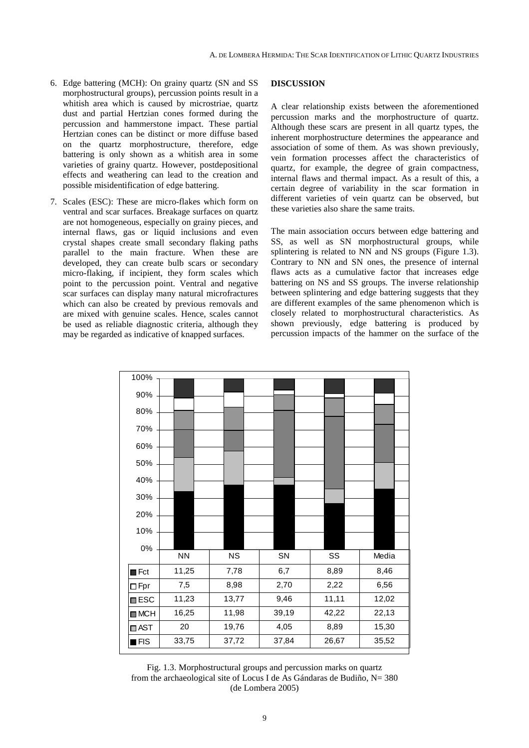- 6. Edge battering (MCH): On grainy quartz (SN and SS morphostructural groups), percussion points result in a whitish area which is caused by microstriae, quartz dust and partial Hertzian cones formed during the percussion and hammerstone impact. These partial Hertzian cones can be distinct or more diffuse based on the quartz morphostructure, therefore, edge battering is only shown as a whitish area in some varieties of grainy quartz. However, postdepositional effects and weathering can lead to the creation and possible misidentification of edge battering.
- 7. Scales (ESC): These are micro-flakes which form on ventral and scar surfaces. Breakage surfaces on quartz are not homogeneous, especially on grainy pieces, and internal flaws, gas or liquid inclusions and even crystal shapes create small secondary flaking paths parallel to the main fracture. When these are developed, they can create bulb scars or secondary micro-flaking, if incipient, they form scales which point to the percussion point. Ventral and negative scar surfaces can display many natural microfractures which can also be created by previous removals and are mixed with genuine scales. Hence, scales cannot be used as reliable diagnostic criteria, although they may be regarded as indicative of knapped surfaces.

### **DISCUSSION**

A clear relationship exists between the aforementioned percussion marks and the morphostructure of quartz. Although these scars are present in all quartz types, the inherent morphostructure determines the appearance and association of some of them. As was shown previously, vein formation processes affect the characteristics of quartz, for example, the degree of grain compactness, internal flaws and thermal impact. As a result of this, a certain degree of variability in the scar formation in different varieties of vein quartz can be observed, but these varieties also share the same traits.

The main association occurs between edge battering and SS, as well as SN morphostructural groups, while splintering is related to NN and NS groups (Figure 1.3). Contrary to NN and SN ones, the presence of internal flaws acts as a cumulative factor that increases edge battering on NS and SS groups. The inverse relationship between splintering and edge battering suggests that they are different examples of the same phenomenon which is closely related to morphostructural characteristics. As shown previously, edge battering is produced by percussion impacts of the hammer on the surface of the



Fig. 1.3. Morphostructural groups and percussion marks on quartz from the archaeological site of Locus I de As Gándaras de Budiño,  $N = 380$ (de Lombera 2005)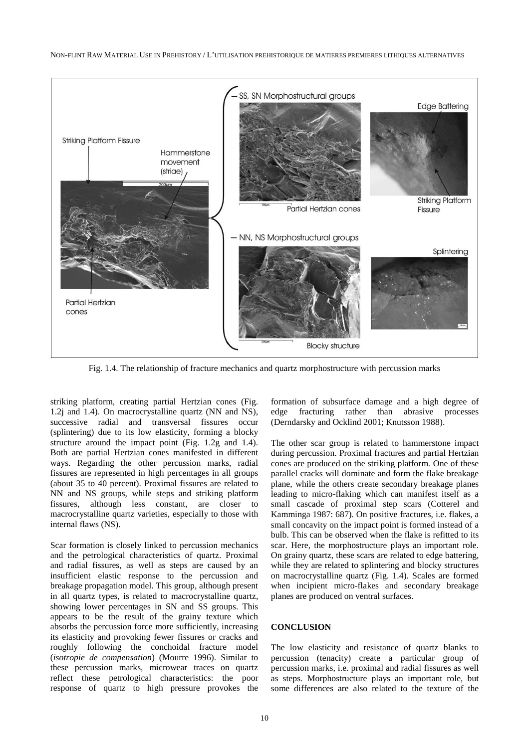NON-FLINT RAW MATERIAL USE IN PREHISTORY / L'UTILISATION PREHISTORIQUE DE MATIERES PREMIERES LITHIQUES ALTERNATIVES



Fig. 1.4. The relationship of fracture mechanics and quartz morphostructure with percussion marks

striking platform, creating partial Hertzian cones (Fig. 1.2j and 1.4). On macrocrystalline quartz (NN and NS), successive radial and transversal fissures occur (splintering) due to its low elasticity, forming a blocky structure around the impact point (Fig. 1.2g and 1.4). Both are partial Hertzian cones manifested in different ways. Regarding the other percussion marks, radial fissures are represented in high percentages in all groups (about 35 to 40 percent). Proximal fissures are related to NN and NS groups, while steps and striking platform fissures, although less constant, are closer to macrocrystalline quartz varieties, especially to those with internal flaws (NS).

Scar formation is closely linked to percussion mechanics and the petrological characteristics of quartz. Proximal and radial fissures, as well as steps are caused by an insufficient elastic response to the percussion and breakage propagation model. This group, although present in all quartz types, is related to macrocrystalline quartz, showing lower percentages in SN and SS groups. This appears to be the result of the grainy texture which absorbs the percussion force more sufficiently, increasing its elasticity and provoking fewer fissures or cracks and roughly following the conchoidal fracture model (*isotropie de compensation*) (Mourre 1996). Similar to these percussion marks, microwear traces on quartz reflect these petrological characteristics: the poor response of quartz to high pressure provokes the

formation of subsurface damage and a high degree of edge fracturing rather than abrasive processes (Derndarsky and Ocklind 2001; Knutsson 1988).

The other scar group is related to hammerstone impact during percussion. Proximal fractures and partial Hertzian cones are produced on the striking platform. One of these parallel cracks will dominate and form the flake breakage plane, while the others create secondary breakage planes leading to micro-flaking which can manifest itself as a small cascade of proximal step scars (Cotterel and Kamminga 1987: 687). On positive fractures, i.e. flakes, a small concavity on the impact point is formed instead of a bulb. This can be observed when the flake is refitted to its scar. Here, the morphostructure plays an important role. On grainy quartz, these scars are related to edge battering, while they are related to splintering and blocky structures on macrocrystalline quartz (Fig. 1.4). Scales are formed when incipient micro-flakes and secondary breakage planes are produced on ventral surfaces.

### **CONCLUSION**

The low elasticity and resistance of quartz blanks to percussion (tenacity) create a particular group of percussion marks, i.e. proximal and radial fissures as well as steps. Morphostructure plays an important role, but some differences are also related to the texture of the